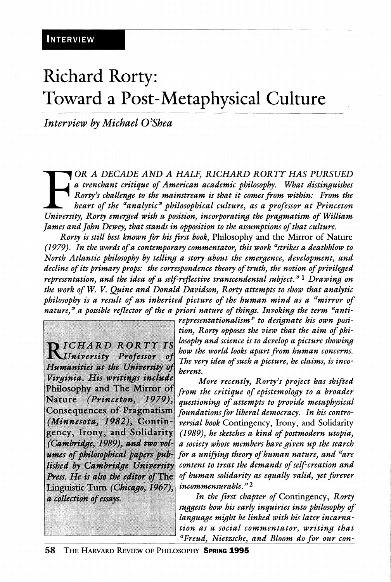# Richard Rorty: Toward a Post-Metaphysical Culture

*Interview by Michael O^Shea* 

**FOR A DECADE AND A HALF, RICHARD RORTY HAS PURSUED**<br> **a** trenchant critique of American academic philosophy. What distinguishes<br>
Rorty's challenge to the mainstream is that it comes from within: From the<br>
heart of the "an *OR A DECADE AND A HALF, RICHARD RORTT HAS PURSUED a trenchant critique of American academic philosophy. What distin£fuishes Rorty^s challen£fe to the mainstream is that it comes from within: From the heart of the ^analytic^ philosophical culture, as a professor at Princeton fames and fohn Dewey, that stands in opposition to the assumptions of that culture.* 

*Rorty is still best known for his first book.* Philosophy and the Mirror of Nature *(1979). In the words of a contemporary commentator, this work ^strikes a deathblow to North Atlantic philosophy by telling a story about the emergence, development, and decline of its primary props: the correspondence theory of truth, the notion of privileged representation, and the idea of a self-reflective transcendental subject.^' ^ Drawing on the work of W. V. Quine and Donald Davidson, Rorty attempts to show that analytic philosophy is a result of an inherited picture of the human mind as a ^mirror of nature,^\a possible reflector of the a priori nature of things. Invoking the term ^anti-*

DICHARD RORTY IS University Professor ot Humanities at the University of Virginia. His writings include Philosophy and The Mirror of Nature (Princeton, 1979), Consequences of Pragmatism (Minnesota, 1982), Contingency, Irony, and Solidarity (Cambridge, 1989), and two volumes of philosophical papers published by Cambridge University Press. He is also the editor of The Linguistic Turn (Chicago, 1967), a collection of essays.

*representationalism'^ to designate his own position, Rorty opposes the view that the aim of philosophy and science is to develop a picture showing how the world looks apart from human concerns. The very idea of such a picture, he claims, is incoherent.* 

*More recently, Rorty^s project has shifted from the critique of epistemology to a broader questioning of attempts to provide metaphysical foundations for liberal democracy. In his controversial book* Contingency, Irony, and Solidarity *(1989), he sketches a kind of postmodern Utopia, a society whose members have given up the search for a unifying theory of human nature, and ^are content to treat the demands of self-creation and of human solidarity as equally valid, yet forever incommensurable. ^ ^* 

*In the first chapter of* Contingency, *Rorty suggests how his early inquiries into philosophy of language might be linked with his later incarnation as a social commentator, writing that ^Freud, Nietzsche, and Bloom do for our con-*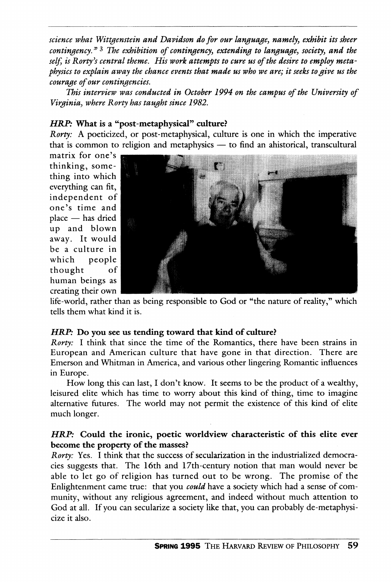*science what Wittgenstein and Davidson do for our language, namely, exhibit its sheer contingency. ^ ^ The exhibition of contingency, extending to language, society, and the*  self, is Rorty's central theme. His work attempts to cure us of the desire to employ meta*physics to explain away the chance events that made us who we are; it seeks to give us the courage of our contingencies.* 

*This interview was conducted in October 1994 on the campus of the University of Virginia, where Rorty has taught since 1982.* 

## *HRP:* **What is a "post-metaphysical" culture?**

*Rorty:* A poeticized, or post-metaphysical, culture is one in which the imperative that is common to religion and metaphysics — to find an ahistorical, transcultural

matrix for one's thinking, something into which everything can fit, independent of one's time and place — has dried up and blown away. It would be a culture in which people thought of human beings as creating their own



life-world, rather than as being responsible to God or "the nature of reality," which tells them what kind it is.

#### *HRP:* **Do you see us tending toward that kind of culture?**

*Rorty:* I think that since the time of the Romantics, there have been strains in European and American culture that have gone in that direction. There are Emerson and Whitman in America, and various other lingering Romantic influences in Europe.

How long this can last, I don't know. It seems to be the product of a wealthy, leisured elite which has time to worry about this kind of thing, time to imagine alternative ftitures. The world may not permit the existence of this kind of elite much longer.

## *HRP:* **Could the ironic, poetic worldview characteristic of this elite ever become the property of the masses?**

*Rorty:* Yes. I think that the success of secularization in the industrialized democracies suggests that. The 16th and 17th-century notion that man would never be able to let go of religion has turned out to be wrong. The promise of the Enlightenment came true: that you *could* have a society which had a sense of community, without any religious agreement, and indeed without much attention to God at all. If you can secularize a society like that, you can probably de-metaphysicize it also.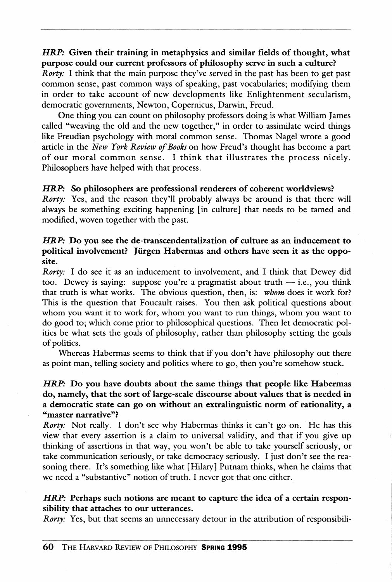#### *HRP:* Given their training **in** metaphysics and similar fields **of** thought, what purpose could our current professors **of** philosophy serve **in** such **a** culture?

*Rorty*: I think that the main purpose they've served in the past has been to get past common sense, past common ways of speaking, past vocabularies; modifying them in order to take account of new developments like Enlightenment secularism, democratic governments, Newton, Copernicus, Darwin, Freud.

One thing you can count on philosophy professors doing is what William James called "weaving the old and the new together," in order to assimilate weird things like Freudian psychology with moral common sense. Thomas Nagel wrote a good article in the *New York Review of Books on* how Freud's thought has become a part of our moral common sense. I think that illustrates the process nicely. Philosophers have helped with that process.

#### *HRP:* **So** philosophers are professional renderers **of** coherent worldviews?

*Rorty:* Yes, and the reason they'll probably always be around is that there will always be something exciting happening [in culture] that needs to be tamed and modified, woven together with the past.

## *HRP:* Do you see the de-transcendentalization of culture as an inducement **to**  political involvement? Jürgen Habermas and others have seen it as the opposite.

*Rorty:* I do see it as an inducement to involvement, and I think that Dewey did too. Dewey is saying: suppose you're a pragmatist about truth  $-$  i.e., you think that truth is what works. The obvious question, then, is: *whom* does it work for? This is the question that Foucault raises. You then ask political questions about whom you want it to work for, whom you want to run things, whom you want to do good to; which come prior to philosophical questions. Then let democratic politics be what sets the goals of philosophy, rather than philosophy setting the goals of politics.

Whereas Habermas seems to think that if you don't have philosophy out there as point man, telling society and politics where to go, then you're somehow stuck.

## *HRP:* Do you have doubts about the same things that people like Habermas do, namely, that the sort of large-scale discourse about values that is needed in **a** democratic state can go on without an extralinguistic norm of rationality, **a**  "master narrative"?

*Rorty*: Not really. I don't see why Habermas thinks it can't go on. He has this view that every assertion is a claim to universal validity, and that if you give up thinking of assertions in that way, you won't be able to take yourself seriously, or take communication seriously, or take democracy seriously. I just don't see the reasoning there. It's something like what [Hilary] Putnam thinks, when he claims that we need a "substantive" notion of truth. I never got that one either.

## *HRP:* Perhaps such notions are meant to capture the idea of **a** certain responsibility that attaches to our utterances.

*Rorty*: Yes, but that seems an unnecessary detour in the attribution of responsibili-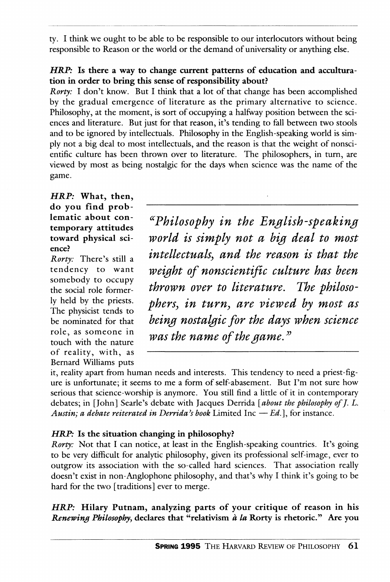ty. I think we ought to be able to be responsible to our interlocutors without being responsible to Reason or the world or the demand of universality or anything else.

# *HRP:* **Is there a way to change current patterns of education and acculturation in order to bring this sense of responsibility about?**

*Rorty:* I don't know. But I think that a lot of that change has been accomplished by the gradual emergence of literature as the primary alternative to science. Philosophy, at the moment, is sort of occupying a halfway position between the sciences and literature. But just for that reason, it's tending to fall between two stools and to be ignored by intellectuals. Philosophy in the English-speaking world is simply not a big deal to most intellectuals, and the reason is that the weight of nonscientific culture has been thrown over to literature. The philosophers, in turn, are viewed by most as being nostalgic for the days when science was the name of the game.

*HRP:* **What, then, do you find prob¬**

somebody to occupy<br>the social role former $of$  reality, with, as Bernard Williams puts

lematic about con-<br>temporary attitudes *continues temporary* attitudes remporary attitudes<br>connect a brain that is a month was a high dout to most **toward physical sci-** *WOVld is simplj flOt d Hg deal tO MOSt*  ence?<br>*Rorty:* There's still a *intellectuals*, and the reason is that the tendency to want *weight of nonscientific culture has been*  the social role former- *thvown ovcT to literature. The phtloso*ly held by the priests. *phers, in turn, are viewed by most as phers, in turn, are viewed by most as* the physical tends to  $\omega$  being nostalgic for the days when science role, as someone in was the name of the game."

it, reality apart from human needs and interests. This tendency to need a priest-figure is unfortunate; it seems to me a form of self-abasement. But I'm not sure how serious that science-worship is anymore. You still find a little of it in contemporary debates; in  $[John]$  Searle's debate with Jacques Derrida  $[about the philosophy of J. L.$ Austin; a debate reiterated in Derrida's book Limited Inc  $-Ed$ ., for instance.

# *HRP*: Is the situation changing in philosophy?

*Rorty*: Not that I can notice, at least in the English-speaking countries. It's going to be very difficult for analytic philosophy, given its professional self-image, ever to outgrow its association with the so-called hard sciences. That association really doesn't exist in non-Anglophone philosophy, and that's why I think it's going to be hard for the two [traditions] ever to merge.

*HRP:* **Hilary Putnam, analyzing parts of your critique of reason in his**  *Renewing Philosophy,* **declares that "relativism** *a la* **Rorty is rhetoric." Are you**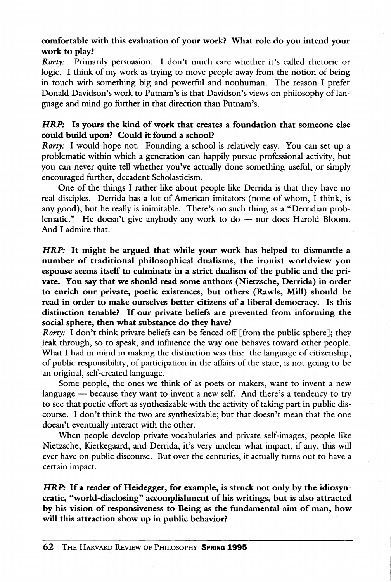comfortable with this evaluation of your work? What role do you intend your work to play?

*Rorty:* Primarily persuasion. I don't much care whether it's called rhetoric or logic. I think of my work as trying to move people away from the notion of being in touch with something big and powerful and nonhuman. The reason I prefer Donald Davidson's work to Putnam's is that Davidson's views on philosophy of language and mind go further in that direction than Putnam's.

## *HRP:* Is yours the kind of work that creates a foundation that someone else could build upon? Could it found a school?

*Rorty:* I would hope not. Founding a school is relatively easy. You can set up a problematic within which a generation can happily pursue professional activity, but you can never quite tell whether you've actually done something useful, or simply encouraged further, decadent Scholasticism.

One of the things I rather like about people like Derrida is that they have no real disciples. Derrida has a lot of American imitators (none of whom, I think, is any good), but he really is inimitable. There's no such thing as a "Derridian problematic." He doesn't give anybody any work to do — nor does Harold Bloom. And I admire that.

*HRP:* It might be argued that while your work has helped to dismantle a number of traditional philosophical dualisms, the ironist worldview you espouse seems itself to culminate in a strict dualism of the public and the private. You say that we should read some authors (Nietzsche, Derrida) in order to enrich our private, poetic existences, but others (Rawls, Mill) should be read in order to make ourselves better citizens of a liberal democracy. Is this distinction tenable? If our private beliefs are prevented from informing the social sphere, then what substance do they have?

*Rorty*: I don't think private beliefs can be fenced off [from the public sphere]; they leak through, so to speak, and influence the way one behaves toward other people. What I had in mind in making the distinction was this: the language of citizenship, of public responsibility, of participation in the affairs of the state, is not going to be an original, self-created language.

Some people, the ones we think of as poets or makers, want to invent a new language — because they want to invent a new self. And there's a tendency to try to see that poetic effort as synthesizable with the activity of taking part in public discourse. I don't think the two are synthesizable; but that doesn't mean that the one doesn't eventually interact with the other.

When people develop private vocabularies and private self-images, people like Nietzsche, Kierkegaard, and Derrida, it's very unclear what impact, if any, this will ever have on public discourse. But over the centuries, it actually turns out to have a certain impact.

*HRP:* If a reader of Heidegger, for example, is struck not only by the idiosyncratic, "world-disclosing" accomplishment of his writings, but is also attracted by his vision of responsiveness to Being as the fundamental aim of man, how will this attraction show up in public behavior?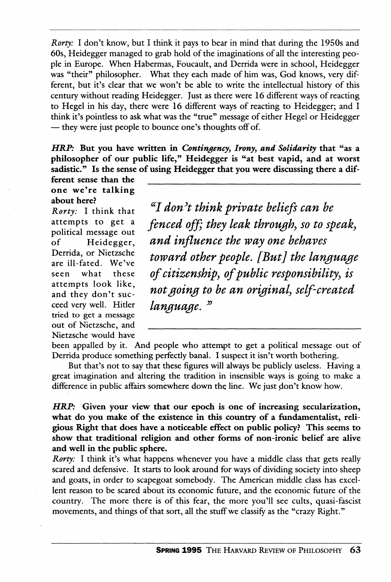*Rorty:* I don't know, but I think it pays to bear in mind that during the 1950s and 60s, Heidegger managed to grab hold of the imaginations of all the interesting people in Europe. When Habermas, Foucault, and Derrida were in school, Heidegger was "their" philosopher. What they each made of him was, God knows, very different, but it's clear that we won't be able to write the intellectual history of this century without reading Heidegger. Just as there were 16 different ways of reacting to Hegel in his day, there were 16 different ways of reacting to Heidegger; and 1 think it's pointless to ask what was the "true" message of either Hegel or Heidegger — they were just people to bounce one's thoughts off of.

*HRP:* **But you have written in** *Contingency, Irony, and Solidarity* **that "as a philosopher of our public life," Heidegger is "at best vapid, and at worst sadistic." Is the sense of using Heidegger that you were discussing there a dif-**

**ferent sense than the one we're talking about here?** 

*Rorty:* I think that attempts to get a political message out of Heidegger, Derrida, or Nietzsche are ill-fated. We've seen what these attempts look like, and they don't succeed very well. Hitler tried to get a message out of Nietzsche, and Nietzsche would have

*^^I donH think private beliefs can be fenced off; they leak through, so to speak, and influence the way one behaves toward other people. [But] the language of citizenships of public responsibility^ is not going to be an original^ self-created language.* 

been appalled by it. And people who attempt to get a political message out of Derrida produce something perfectiy banal. I suspect it isn't worth bothering.

But that's not to say that these figures will always be publicly useless. Having a great imagination and altering the tradition in insensible ways is going to make a difference in public affairs somewhere down the line. We just don't know how.

*HRP:* **Given your view that our epoch is one of increasing secularization, what do you make of the existence in this country of a fundamentalist, religious Right that does have a noticeable effect on public policy? This seems to show that traditional religion and other forms of non-ironic belief are alive and well in the public sphere.** 

*Rorty:* I think it's what happens whenever you have a middle class that gets really scared and defensive. It starts to look around for ways of dividing society into sheep and goats, in order to scapegoat somebody. The American middle class has excellent reason to be scared about its economic future, and the economic future of the country. The more there is of this fear, the more you'll see cults, quasi-fascist movements, and things of that sort, all the stuff we classify as the "crazy Right."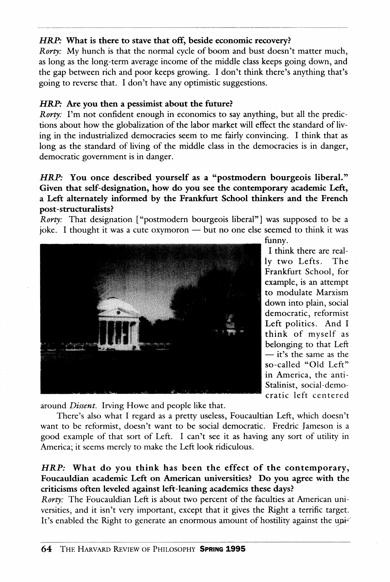# *HBJP:* **What is there to stave that off, beside economic recovery?**

*Rorty*: My hunch is that the normal cycle of boom and bust doesn't matter much, as long as the long-term average income of the middle class keeps going down, and the gap between rich and poor keeps growing. I don't think there's anything that's going to reverse that. I don't have any optimistic suggestions.

# *HRP:* **Are you then a pessimist about the future?**

*Rorty:* I'm not confident enough in economics to say anything, but all the predictions about how the globalization of the labor market will effect the standard of living in the industrialized democracies seem to me fairly convincing. I think that as long as the standard of living of the middle class in the democracies is in danger, democratic government is in danger.

## *HRP:* **You once described yourself as a "postmodern bourgeois liberal." Given that self-designation, how do you see the contemporary academic Left, a Left alternately informed by the Frankfurt School thinkers and the French post-structuralists?**

*Rorty*: That designation ["postmodern bourgeois liberal"] was supposed to be a joke. I thought it was a cute oxymoron — but no one else seemed to think it was



funny.

I think there are really two Lefts. The Frankfurt School, for example, is an attempt to modulate Marxism down into plain, social democratic, reformist Left politics. And I think of myself as belonging to that Left — it's the same as the so-called "Old Left" in America, the anti-Stalinist, social-democratic left centered

around *Dissent.* Irving Howe and people like that.

There's also what I regard as a pretty useless, Foucaultian Left, which doesn't want to be reformist, doesn't want to be social democratic. Fredric Jameson is a good example of that sort of Left. I can't see it as having any sort of utility in America; it seems merely to make the Left look ridiculous.

# *HRP:* **What do you think has been the effect of the contemporary, Foucauldian academic Left on American universities? Do you agree with the criticisms often leveled against left-leaning academics these days?**

*Rorty:* The Foucauldian Left is about two percent of the faculties at American universities, and it isn't very important, except that it gives the Right a terrific target. It's enabled the Right to generate an enormous amount of hostility against the upi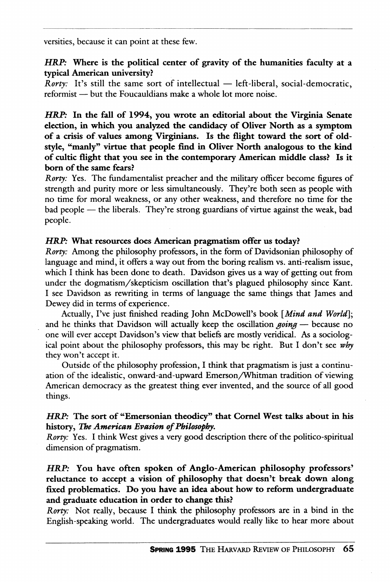versities, because it can point at these few.

## *HRP:* **Where is the political center of gravity of the humanities faculty at a typical American university?**

*Rorty:* It's still the same sort of intellectual — left-liberal, social-democratic, reformist — but the Foucauldians make a whole lot more noise.

*HRP:* **In the fall of 1994, you wrote an editorial about the Virginia Senate election, in which you analyzed the candidacy of Oliver North as a symptom of a crisis of values among Virginians. Is the flight toward the sort of oldstyle, "manly" virtue that people find in Oliver North analogous to the kind of cultic flight that you see in the contemporary American middle class? Is it born of the same fears?** 

*Rorty:* Yes. The fundamentalist preacher and the military officer become figures of strength and purity more or less simultaneously. They're both seen as people with no time for moral weakness, or any other weakness, and therefore no time for the bad people — the liberals. They're strong guardians of virtue against the weak, bad people.

#### *HRP:* **What resources does American pragmatism offer us today?**

*Rorty:* Among the philosophy professors, in the form of Davidsonian philosophy of language and mind, it offers a way out from the boring realism vs. anti-realism issue, which I think has been done to death. Davidson gives us a way of getting out from under the dogmatism/skepticism oscillation that's plagued philosophy since Kant. I see Davidson as rewriting in terms of language the same things that James and Dewey did in terms of experience.

Actually, I've just finished reading John McDowell's book *[Mind and World];*  and he thinks that Davidson will actually keep the oscillation *going* — because no one will ever accept Davidson's view that beliefs are mostiy veridical. As a sociological point about the philosophy professors, this may be right. But I don't see *why*  they won't accept it.

Outside of the philosophy profession, I think that pragmatism is just a continuation of the idealistic, onward-and-upward Emerson/Whitman tradition of viewing American democracy as the greatest thing ever invented, and the source of all good things.

## *HRP:* **The sort of "Emersonian theodicy" that Cornel West talks about in his**  history, *The American Evasion of Philosophy*.

*Rorty:* Yes. I think West gives a very good description there of the politico-spiritual dimension of pragmatism.

*HRP:* **You have often spoken of Anglo-American philosophy professors' reluctance to accept a vision of philosophy that doesn't break down along fixed problematics. Do you have an idea about how to reform undergraduate and graduate education in order to change this?** 

*Rorty:* Not really, because I think the philosophy professors are in a bind in the English-speaking world. The undergraduates would really like to hear more about